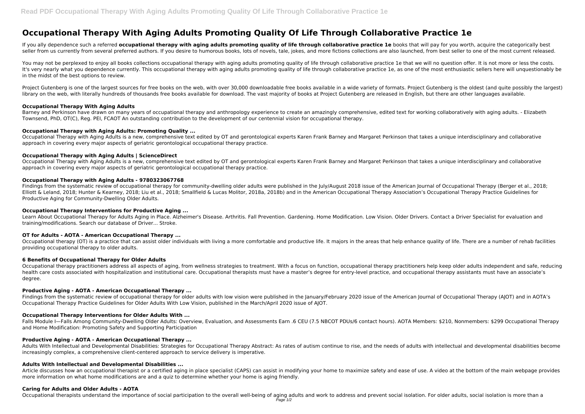# **Occupational Therapy With Aging Adults Promoting Quality Of Life Through Collaborative Practice 1e**

If you ally dependence such a referred **occupational therapy with aging adults promoting quality of life through collaborative practice 1e books that will pay for you worth, acquire the categorically best** seller from us currently from several preferred authors. If you desire to humorous books, lots of novels, tale, jokes, and more fictions collections are also launched, from best seller to one of the most current released.

You may not be perplexed to enjoy all books collections occupational therapy with aging adults promoting quality of life through collaborative practice 1e that we will no question offer. It is not more or less the costs. It's very nearly what you dependence currently. This occupational therapy with aging adults promoting quality of life through collaborative practice 1e, as one of the most enthusiastic sellers here will unquestionably be in the midst of the best options to review.

Project Gutenberg is one of the largest sources for free books on the web, with over 30,000 downloadable free books available in a wide variety of formats. Project Gutenberg is the oldest (and quite possibly the largest) library on the web, with literally hundreds of thousands free books available for download. The vast majority of books at Project Gutenberg are released in English, but there are other languages available.

Barney and Perkinson have drawn on many years of occupational therapy and anthropology experience to create an amazingly comprehensive, edited text for working collaboratively with aging adults. - Elizabeth Townsend, PhD, OT(C), Reg. PEI, FCAOT An outstanding contribution to the development of our centennial vision for occupational therapy.

## **Occupational Therapy With Aging Adults**

Findings from the systematic review of occupational therapy for community-dwelling older adults were published in the July/August 2018 issue of the American Journal of Occupational Therapy (Berger et al., 2018; Elliott & Leland, 2018; Hunter & Kearney, 2018; Liu et al., 2018; Smallfield & Lucas Molitor, 2018a, 2018b) and in the American Occupational Therapy Association's Occupational Therapy Practice Guidelines for Productive Aging for Community-Dwelling Older Adults.

# **Occupational Therapy with Aging Adults: Promoting Quality ...**

Occupational Therapy with Aging Adults is a new, comprehensive text edited by OT and gerontological experts Karen Frank Barney and Margaret Perkinson that takes a unique interdisciplinary and collaborative approach in covering every major aspects of geriatric gerontological occupational therapy practice.

# **Occupational Therapy with Aging Adults | ScienceDirect**

Findings from the systematic review of occupational therapy for older adults with low vision were published in the January/February 2020 issue of the American Journal of Occupational Therapy (AJOT) and in AOTA's Occupational Therapy Practice Guidelines for Older Adults With Low Vision, published in the March/April 2020 issue of AJOT.

Occupational Therapy with Aging Adults is a new, comprehensive text edited by OT and gerontological experts Karen Frank Barney and Margaret Perkinson that takes a unique interdisciplinary and collaborative approach in covering every major aspects of geriatric gerontological occupational therapy practice.

# **Occupational Therapy with Aging Adults - 9780323067768**

## **Occupational Therapy Interventions for Productive Aging ...**

Learn About Occupational Therapy for Adults Aging in Place. Alzheimer's Disease. Arthritis. Fall Prevention. Gardening. Home Modification. Low Vision. Older Drivers. Contact a Driver Specialist for evaluation and training/modifications. Search our database of Driver... Stroke.

## **OT for Adults - AOTA - American Occupational Therapy ...**

Occupational therapy (OT) is a practice that can assist older individuals with living a more comfortable and productive life. It majors in the areas that help enhance quality of life. There are a number of rehab facilities providing occupational therapy to older adults.

## **6 Benefits of Occupational Therapy for Older Adults**

Occupational therapy practitioners address all aspects of aging, from wellness strategies to treatment. With a focus on function, occupational therapy practitioners help keep older adults independent and safe, reducing health care costs associated with hospitalization and institutional care. Occupational therapists must have a master's degree for entry-level practice, and occupational therapy assistants must have an associate's degree.

## **Productive Aging - AOTA - American Occupational Therapy ...**

## **Occupational Therapy Interventions for Older Adults With ...**

Falls Module I—Falls Among Community-Dwelling Older Adults: Overview, Evaluation, and Assessments Earn .6 CEU (7.5 NBCOT PDUs/6 contact hours). AOTA Members: \$210, Nonmembers: \$299 Occupational Therapy and Home Modification: Promoting Safety and Supporting Participation

## **Productive Aging - AOTA - American Occupational Therapy ...**

Adults With Intellectual and Developmental Disabilities: Strategies for Occupational Therapy Abstract: As rates of autism continue to rise, and the needs of adults with intellectual and developmental disabilities become increasingly complex, a comprehensive client-centered approach to service delivery is imperative.

## **Adults With Intellectual and Developmental Disabilities ...**

Article discusses how an occupational therapist or a certified aging in place specialist (CAPS) can assist in modifying your home to maximize safety and ease of use. A video at the bottom of the main webpage provides more information on what home modifications are and a quiz to determine whether your home is aging friendly.

## **Caring for Adults and Older Adults - AOTA**

Occupational therapists understand the importance of social participation to the overall well-being of aging adults and work to address and prevent social isolation. For older adults, social isolation is more than a